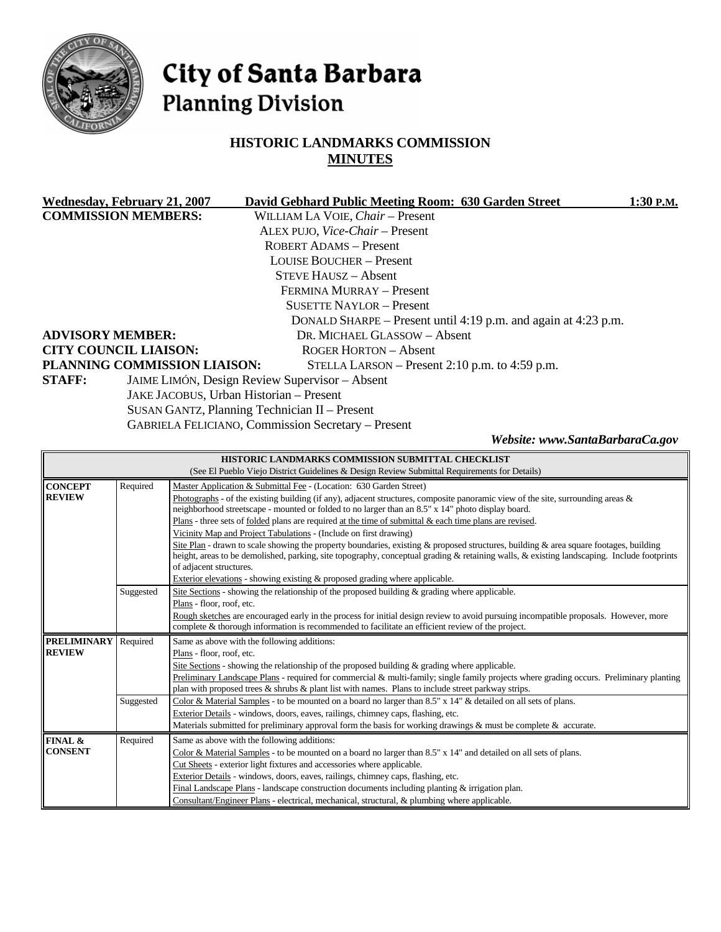

# City of Santa Barbara **Planning Division**

# **HISTORIC LANDMARKS COMMISSION MINUTES**

| <b>Wednesday, February 21, 2007</b>                             | David Gebhard Public Meeting Room: 630 Garden Street           | 1:30 P.M. |
|-----------------------------------------------------------------|----------------------------------------------------------------|-----------|
| <b>COMMISSION MEMBERS:</b>                                      | WILLIAM LA VOIE, Chair - Present                               |           |
|                                                                 | ALEX PUJO, Vice-Chair - Present                                |           |
|                                                                 | <b>ROBERT ADAMS - Present</b>                                  |           |
|                                                                 | <b>LOUISE BOUCHER – Present</b>                                |           |
|                                                                 | <b>STEVE HAUSZ – Absent</b>                                    |           |
|                                                                 | FERMINA MURRAY - Present                                       |           |
|                                                                 | <b>SUSETTE NAYLOR – Present</b>                                |           |
|                                                                 | DONALD SHARPE – Present until 4:19 p.m. and again at 4:23 p.m. |           |
| <b>ADVISORY MEMBER:</b>                                         | DR. MICHAEL GLASSOW - Absent                                   |           |
| <b>CITY COUNCIL LIAISON:</b>                                    | <b>ROGER HORTON – Absent</b>                                   |           |
| PLANNING COMMISSION LIAISON:                                    | STELLA LARSON – Present 2:10 p.m. to 4:59 p.m.                 |           |
| <b>STAFF:</b><br>JAIME LIMÓN, Design Review Supervisor - Absent |                                                                |           |
|                                                                 | JAKE JACOBUS, Urban Historian - Present                        |           |
| SUSAN GANTZ, Planning Technician II - Present                   |                                                                |           |
|                                                                 | <b>GABRIELA FELICIANO, Commission Secretary – Present</b>      |           |

*Website: www.SantaBarbaraCa.gov* 

| HISTORIC LANDMARKS COMMISSION SUBMITTAL CHECKLIST |                                                                                                  |                                                                                                                                            |  |  |
|---------------------------------------------------|--------------------------------------------------------------------------------------------------|--------------------------------------------------------------------------------------------------------------------------------------------|--|--|
|                                                   | (See El Pueblo Viejo District Guidelines & Design Review Submittal Requirements for Details)     |                                                                                                                                            |  |  |
| <b>CONCEPT</b>                                    | Required                                                                                         | Master Application & Submittal Fee - (Location: 630 Garden Street)                                                                         |  |  |
| <b>REVIEW</b>                                     |                                                                                                  | Photographs - of the existing building (if any), adjacent structures, composite panoramic view of the site, surrounding areas $\&$         |  |  |
|                                                   |                                                                                                  | neighborhood streetscape - mounted or folded to no larger than an 8.5" x 14" photo display board.                                          |  |  |
|                                                   |                                                                                                  | Plans - three sets of <u>folded</u> plans are required at the time of submittal $\&$ each time plans are revised.                          |  |  |
|                                                   |                                                                                                  | Vicinity Map and Project Tabulations - (Include on first drawing)                                                                          |  |  |
|                                                   |                                                                                                  | Site Plan - drawn to scale showing the property boundaries, existing & proposed structures, building & area square footages, building      |  |  |
|                                                   |                                                                                                  | height, areas to be demolished, parking, site topography, conceptual grading & retaining walls, & existing landscaping. Include footprints |  |  |
|                                                   |                                                                                                  | of adjacent structures.                                                                                                                    |  |  |
|                                                   |                                                                                                  | Exterior elevations - showing existing & proposed grading where applicable.                                                                |  |  |
|                                                   | Suggested                                                                                        | Site Sections - showing the relationship of the proposed building & grading where applicable.                                              |  |  |
|                                                   |                                                                                                  | Plans - floor, roof, etc.                                                                                                                  |  |  |
|                                                   |                                                                                                  | Rough sketches are encouraged early in the process for initial design review to avoid pursuing incompatible proposals. However, more       |  |  |
|                                                   | complete & thorough information is recommended to facilitate an efficient review of the project. |                                                                                                                                            |  |  |
| <b>PRELIMINARY</b>                                | Required                                                                                         | Same as above with the following additions:                                                                                                |  |  |
| <b>REVIEW</b>                                     |                                                                                                  | Plans - floor, roof, etc.                                                                                                                  |  |  |
|                                                   |                                                                                                  | Site Sections - showing the relationship of the proposed building $\&$ grading where applicable.                                           |  |  |
|                                                   |                                                                                                  | Preliminary Landscape Plans - required for commercial & multi-family; single family projects where grading occurs. Preliminary planting    |  |  |
|                                                   |                                                                                                  | plan with proposed trees $\&$ shrubs $\&$ plant list with names. Plans to include street parkway strips.                                   |  |  |
|                                                   | Suggested                                                                                        | Color & Material Samples - to be mounted on a board no larger than 8.5" x 14" & detailed on all sets of plans.                             |  |  |
|                                                   |                                                                                                  | Exterior Details - windows, doors, eaves, railings, chimney caps, flashing, etc.                                                           |  |  |
|                                                   |                                                                                                  | Materials submitted for preliminary approval form the basis for working drawings & must be complete & accurate.                            |  |  |
| FINAL &                                           | Required                                                                                         | Same as above with the following additions:                                                                                                |  |  |
| <b>CONSENT</b>                                    |                                                                                                  | Color & Material Samples - to be mounted on a board no larger than 8.5" x 14" and detailed on all sets of plans.                           |  |  |
|                                                   |                                                                                                  | Cut Sheets - exterior light fixtures and accessories where applicable.                                                                     |  |  |
|                                                   |                                                                                                  | Exterior Details - windows, doors, eaves, railings, chimney caps, flashing, etc.                                                           |  |  |
|                                                   |                                                                                                  | Final Landscape Plans - landscape construction documents including planting $&$ irrigation plan.                                           |  |  |
|                                                   |                                                                                                  | Consultant/Engineer Plans - electrical, mechanical, structural, & plumbing where applicable.                                               |  |  |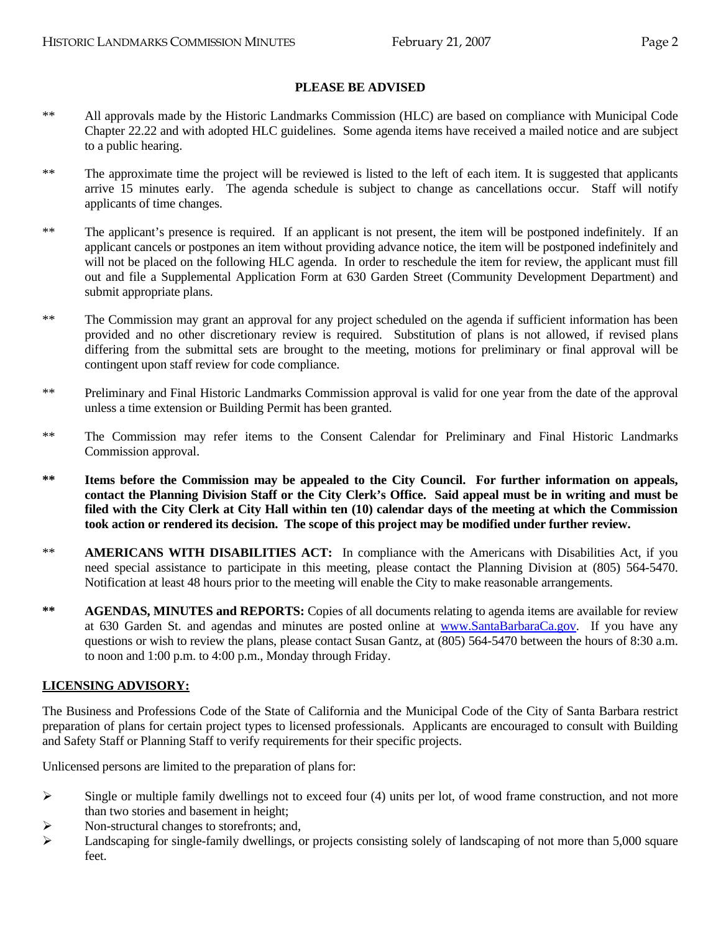#### **PLEASE BE ADVISED**

- \*\* All approvals made by the Historic Landmarks Commission (HLC) are based on compliance with Municipal Code Chapter 22.22 and with adopted HLC guidelines. Some agenda items have received a mailed notice and are subject to a public hearing.
- \*\* The approximate time the project will be reviewed is listed to the left of each item. It is suggested that applicants arrive 15 minutes early. The agenda schedule is subject to change as cancellations occur. Staff will notify applicants of time changes.
- \*\* The applicant's presence is required. If an applicant is not present, the item will be postponed indefinitely. If an applicant cancels or postpones an item without providing advance notice, the item will be postponed indefinitely and will not be placed on the following HLC agenda. In order to reschedule the item for review, the applicant must fill out and file a Supplemental Application Form at 630 Garden Street (Community Development Department) and submit appropriate plans.
- \*\* The Commission may grant an approval for any project scheduled on the agenda if sufficient information has been provided and no other discretionary review is required. Substitution of plans is not allowed, if revised plans differing from the submittal sets are brought to the meeting, motions for preliminary or final approval will be contingent upon staff review for code compliance.
- \*\* Preliminary and Final Historic Landmarks Commission approval is valid for one year from the date of the approval unless a time extension or Building Permit has been granted.
- \*\* The Commission may refer items to the Consent Calendar for Preliminary and Final Historic Landmarks Commission approval.
- **\*\* Items before the Commission may be appealed to the City Council. For further information on appeals, contact the Planning Division Staff or the City Clerk's Office. Said appeal must be in writing and must be filed with the City Clerk at City Hall within ten (10) calendar days of the meeting at which the Commission took action or rendered its decision. The scope of this project may be modified under further review.**
- \*\* **AMERICANS WITH DISABILITIES ACT:** In compliance with the Americans with Disabilities Act, if you need special assistance to participate in this meeting, please contact the Planning Division at (805) 564-5470. Notification at least 48 hours prior to the meeting will enable the City to make reasonable arrangements.
- **\*\* AGENDAS, MINUTES and REPORTS:** Copies of all documents relating to agenda items are available for review at 630 Garden St. and agendas and minutes are posted online at [www.SantaBarbaraCa.gov](http://www.santabarbaraca.gov/). If you have any questions or wish to review the plans, please contact Susan Gantz, at (805) 564-5470 between the hours of 8:30 a.m. to noon and 1:00 p.m. to 4:00 p.m., Monday through Friday.

#### **LICENSING ADVISORY:**

The Business and Professions Code of the State of California and the Municipal Code of the City of Santa Barbara restrict preparation of plans for certain project types to licensed professionals. Applicants are encouraged to consult with Building and Safety Staff or Planning Staff to verify requirements for their specific projects.

Unlicensed persons are limited to the preparation of plans for:

- $\triangleright$  Single or multiple family dwellings not to exceed four (4) units per lot, of wood frame construction, and not more than two stories and basement in height;
- ¾ Non-structural changes to storefronts; and,
- ¾ Landscaping for single-family dwellings, or projects consisting solely of landscaping of not more than 5,000 square feet.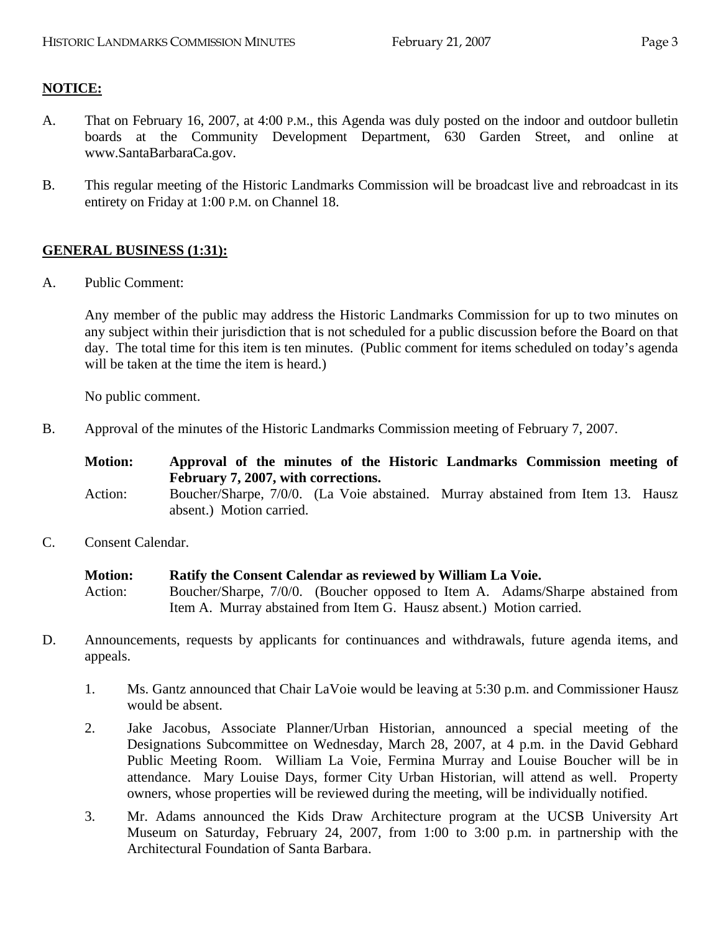# **NOTICE:**

- A. That on February 16, 2007, at 4:00 P.M., this Agenda was duly posted on the indoor and outdoor bulletin boards at the Community Development Department, 630 Garden Street, and online at www.SantaBarbaraCa.gov.
- B. This regular meeting of the Historic Landmarks Commission will be broadcast live and rebroadcast in its entirety on Friday at 1:00 P.M. on Channel 18.

# **GENERAL BUSINESS (1:31):**

A. Public Comment:

Any member of the public may address the Historic Landmarks Commission for up to two minutes on any subject within their jurisdiction that is not scheduled for a public discussion before the Board on that day. The total time for this item is ten minutes. (Public comment for items scheduled on today's agenda will be taken at the time the item is heard.)

No public comment.

B. Approval of the minutes of the Historic Landmarks Commission meeting of February 7, 2007.

| <b>Motion:</b> | Approval of the minutes of the Historic Landmarks Commission meeting of<br>February 7, 2007, with corrections. |  |
|----------------|----------------------------------------------------------------------------------------------------------------|--|
| Action:        | Boucher/Sharpe, 7/0/0. (La Voie abstained. Murray abstained from Item 13. Hausz<br>absent.) Motion carried.    |  |

C. Consent Calendar.

**Motion: Ratify the Consent Calendar as reviewed by William La Voie.**  Action: Boucher/Sharpe, 7/0/0. (Boucher opposed to Item A. Adams/Sharpe abstained from Item A. Murray abstained from Item G. Hausz absent.) Motion carried.

- D. Announcements, requests by applicants for continuances and withdrawals, future agenda items, and appeals.
	- 1. Ms. Gantz announced that Chair LaVoie would be leaving at 5:30 p.m. and Commissioner Hausz would be absent.
	- 2. Jake Jacobus, Associate Planner/Urban Historian, announced a special meeting of the Designations Subcommittee on Wednesday, March 28, 2007, at 4 p.m. in the David Gebhard Public Meeting Room. William La Voie, Fermina Murray and Louise Boucher will be in attendance. Mary Louise Days, former City Urban Historian, will attend as well. Property owners, whose properties will be reviewed during the meeting, will be individually notified.
	- 3. Mr. Adams announced the Kids Draw Architecture program at the UCSB University Art Museum on Saturday, February 24, 2007, from 1:00 to 3:00 p.m. in partnership with the Architectural Foundation of Santa Barbara.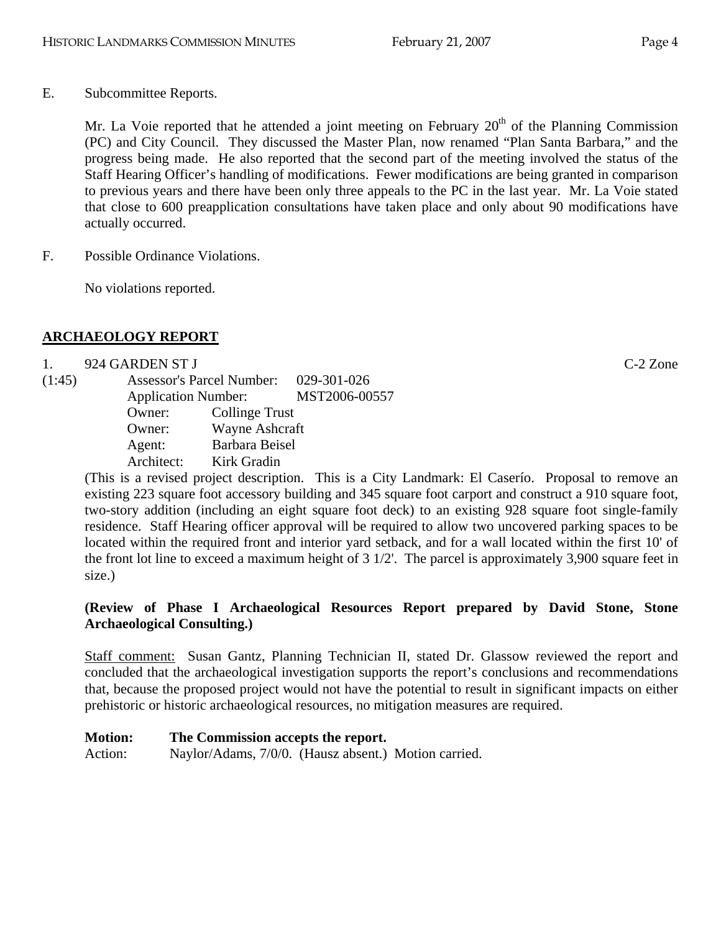Mr. La Voie reported that he attended a joint meeting on February  $20<sup>th</sup>$  of the Planning Commission (PC) and City Council. They discussed the Master Plan, now renamed "Plan Santa Barbara," and the progress being made. He also reported that the second part of the meeting involved the status of the Staff Hearing Officer's handling of modifications. Fewer modifications are being granted in comparison to previous years and there have been only three appeals to the PC in the last year. Mr. La Voie stated that close to 600 preapplication consultations have taken place and only about 90 modifications have actually occurred.

F. Possible Ordinance Violations.

No violations reported.

# **ARCHAEOLOGY REPORT**

# 1. 924 GARDEN ST J C-2 Zone

(1:45) Assessor's Parcel Number: 029-301-026 Application Number: MST2006-00557 Owner: Collinge Trust Owner: Wayne Ashcraft Agent: Barbara Beisel Architect: Kirk Gradin

(This is a revised project description. This is a City Landmark: El Caserío. Proposal to remove an existing 223 square foot accessory building and 345 square foot carport and construct a 910 square foot, two-story addition (including an eight square foot deck) to an existing 928 square foot single-family residence. Staff Hearing officer approval will be required to allow two uncovered parking spaces to be located within the required front and interior yard setback, and for a wall located within the first 10' of the front lot line to exceed a maximum height of 3 1/2'. The parcel is approximately 3,900 square feet in size.)

# **(Review of Phase I Archaeological Resources Report prepared by David Stone, Stone Archaeological Consulting.)**

Staff comment: Susan Gantz, Planning Technician II, stated Dr. Glassow reviewed the report and concluded that the archaeological investigation supports the report's conclusions and recommendations that, because the proposed project would not have the potential to result in significant impacts on either prehistoric or historic archaeological resources, no mitigation measures are required.

# **Motion: The Commission accepts the report.**

Action: Naylor/Adams, 7/0/0. (Hausz absent.) Motion carried.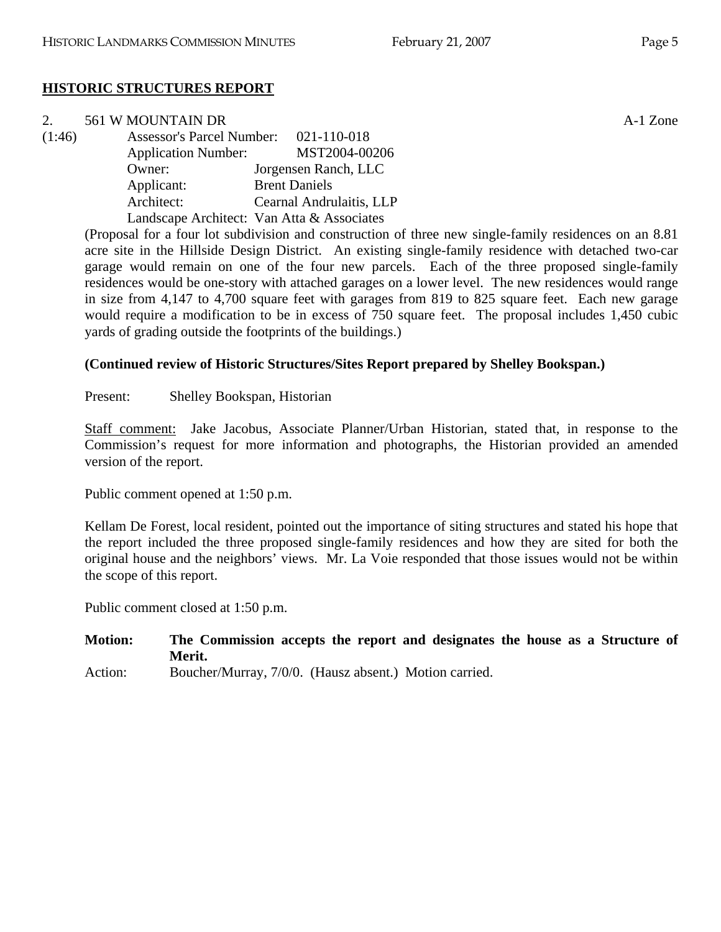# **HISTORIC STRUCTURES REPORT**

| 2.     | 561 W MOUNTAIN DR                     |                                            | A-1 Zone |
|--------|---------------------------------------|--------------------------------------------|----------|
| (1:46) | Assessor's Parcel Number: 021-110-018 |                                            |          |
|        |                                       | Application Number: MST2004-00206          |          |
|        | Owner:                                | Jorgensen Ranch, LLC                       |          |
|        | Applicant:                            | <b>Brent Daniels</b>                       |          |
|        | Architect:                            | Cearnal Andrulaitis, LLP                   |          |
|        |                                       | Landscape Architect: Van Atta & Associates |          |

(Proposal for a four lot subdivision and construction of three new single-family residences on an 8.81 acre site in the Hillside Design District. An existing single-family residence with detached two-car garage would remain on one of the four new parcels. Each of the three proposed single-family residences would be one-story with attached garages on a lower level. The new residences would range in size from 4,147 to 4,700 square feet with garages from 819 to 825 square feet. Each new garage would require a modification to be in excess of 750 square feet. The proposal includes 1,450 cubic yards of grading outside the footprints of the buildings.)

#### **(Continued review of Historic Structures/Sites Report prepared by Shelley Bookspan.)**

Present: Shelley Bookspan, Historian

Staff comment: Jake Jacobus, Associate Planner/Urban Historian, stated that, in response to the Commission's request for more information and photographs, the Historian provided an amended version of the report.

Public comment opened at 1:50 p.m.

Kellam De Forest, local resident, pointed out the importance of siting structures and stated his hope that the report included the three proposed single-family residences and how they are sited for both the original house and the neighbors' views. Mr. La Voie responded that those issues would not be within the scope of this report.

Public comment closed at 1:50 p.m.

**Motion: The Commission accepts the report and designates the house as a Structure of Merit.** 

Action: Boucher/Murray, 7/0/0. (Hausz absent.) Motion carried.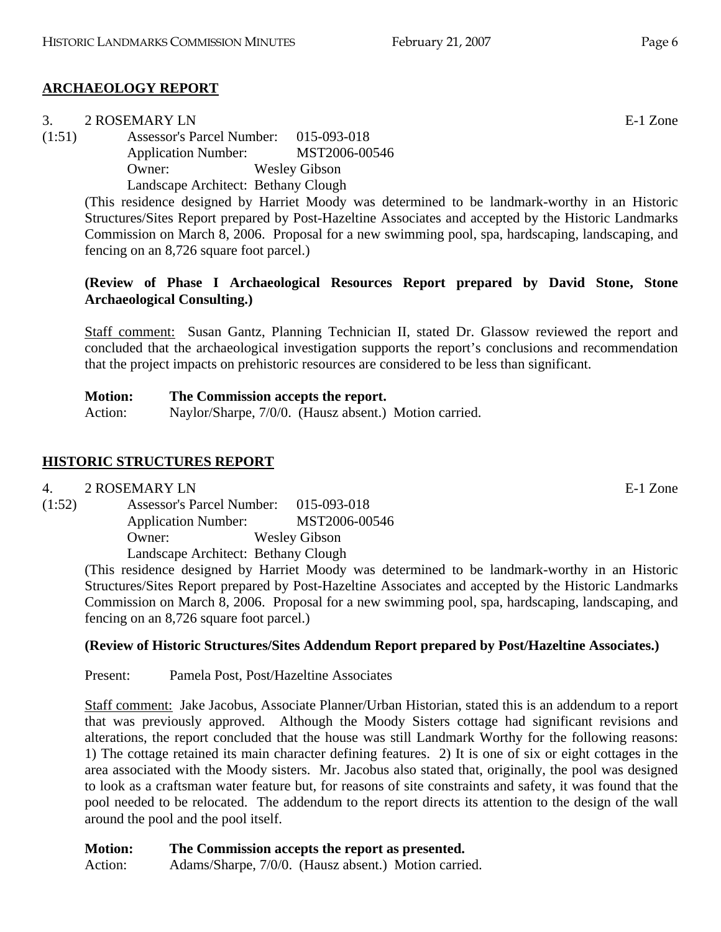# **ARCHAEOLOGY REPORT**

| 3.     | 2 ROSEMARY LN                         |                      | E-1 Zone |
|--------|---------------------------------------|----------------------|----------|
| (1:51) | Assessor's Parcel Number: 015-093-018 |                      |          |
|        | <b>Application Number:</b>            | MST2006-00546        |          |
|        | Owner:                                | <b>Wesley Gibson</b> |          |
|        | Landscape Architect: Bethany Clough   |                      |          |

(This residence designed by Harriet Moody was determined to be landmark-worthy in an Historic Structures/Sites Report prepared by Post-Hazeltine Associates and accepted by the Historic Landmarks Commission on March 8, 2006. Proposal for a new swimming pool, spa, hardscaping, landscaping, and fencing on an 8,726 square foot parcel.)

# **(Review of Phase I Archaeological Resources Report prepared by David Stone, Stone Archaeological Consulting.)**

Staff comment: Susan Gantz, Planning Technician II, stated Dr. Glassow reviewed the report and concluded that the archaeological investigation supports the report's conclusions and recommendation that the project impacts on prehistoric resources are considered to be less than significant.

| <b>Motion:</b> | The Commission accepts the report.                   |
|----------------|------------------------------------------------------|
| Action:        | Naylor/Sharpe, 7/0/0. (Hausz absent.) Motion carried |

# **HISTORIC STRUCTURES REPORT**

# 4. 2 ROSEMARY LN

(1:52) Assessor's Parcel Number: 015-093-018 Application Number: MST2006-00546 Owner: Wesley Gibson Landscape Architect: Bethany Clough

(This residence designed by Harriet Moody was determined to be landmark-worthy in an Historic Structures/Sites Report prepared by Post-Hazeltine Associates and accepted by the Historic Landmarks Commission on March 8, 2006. Proposal for a new swimming pool, spa, hardscaping, landscaping, and fencing on an 8,726 square foot parcel.)

# **(Review of Historic Structures/Sites Addendum Report prepared by Post/Hazeltine Associates.)**

Present: Pamela Post, Post/Hazeltine Associates

Staff comment: Jake Jacobus, Associate Planner/Urban Historian, stated this is an addendum to a report that was previously approved. Although the Moody Sisters cottage had significant revisions and alterations, the report concluded that the house was still Landmark Worthy for the following reasons: 1) The cottage retained its main character defining features. 2) It is one of six or eight cottages in the area associated with the Moody sisters. Mr. Jacobus also stated that, originally, the pool was designed to look as a craftsman water feature but, for reasons of site constraints and safety, it was found that the pool needed to be relocated. The addendum to the report directs its attention to the design of the wall around the pool and the pool itself.

**Motion: The Commission accepts the report as presented.**  Action: Adams/Sharpe, 7/0/0. (Hausz absent.) Motion carried.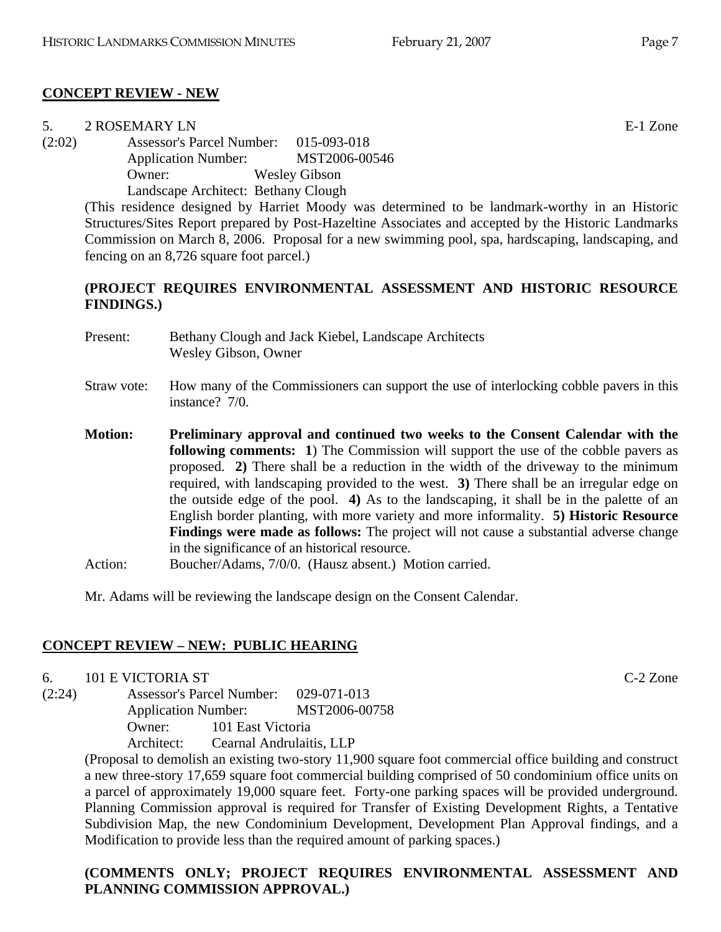#### **CONCEPT REVIEW - NEW**

| 5.     | 2 ROSEMARY LN                         |                                                                                              | E-1 Zone |
|--------|---------------------------------------|----------------------------------------------------------------------------------------------|----------|
| (2:02) | Assessor's Parcel Number: 015-093-018 |                                                                                              |          |
|        | <b>Application Number:</b>            | MST2006-00546                                                                                |          |
|        | Owner:                                | <b>Wesley Gibson</b>                                                                         |          |
|        | Landscape Architect: Bethany Clough   |                                                                                              |          |
|        |                                       | This residence designed by Harriet Moody was determined to be landmark-worthy in an Historic |          |

determined to be landmark-worthy in an Historic Structures/Sites Report prepared by Post-Hazeltine Associates and accepted by the Historic Landmarks Commission on March 8, 2006. Proposal for a new swimming pool, spa, hardscaping, landscaping, and fencing on an 8,726 square foot parcel.)

#### **(PROJECT REQUIRES ENVIRONMENTAL ASSESSMENT AND HISTORIC RESOURCE FINDINGS.)**

- Present: Bethany Clough and Jack Kiebel, Landscape Architects Wesley Gibson, Owner
- Straw vote: How many of the Commissioners can support the use of interlocking cobble pavers in this instance? 7/0.
- **Motion: Preliminary approval and continued two weeks to the Consent Calendar with the following comments:** 1) The Commission will support the use of the cobble pavers as proposed. **2)** There shall be a reduction in the width of the driveway to the minimum required, with landscaping provided to the west. **3)** There shall be an irregular edge on the outside edge of the pool. **4)** As to the landscaping, it shall be in the palette of an English border planting, with more variety and more informality. **5) Historic Resource Findings were made as follows:** The project will not cause a substantial adverse change in the significance of an historical resource.
- Action: Boucher/Adams, 7/0/0. (Hausz absent.) Motion carried.

Mr. Adams will be reviewing the landscape design on the Consent Calendar.

# **CONCEPT REVIEW – NEW: PUBLIC HEARING**

6. 101 E VICTORIA ST C-2 Zone

(2:24) Assessor's Parcel Number: 029-071-013 Application Number: MST2006-00758 Owner: 101 East Victoria Architect: Cearnal Andrulaitis, LLP

> (Proposal to demolish an existing two-story 11,900 square foot commercial office building and construct a new three-story 17,659 square foot commercial building comprised of 50 condominium office units on a parcel of approximately 19,000 square feet. Forty-one parking spaces will be provided underground. Planning Commission approval is required for Transfer of Existing Development Rights, a Tentative Subdivision Map, the new Condominium Development, Development Plan Approval findings, and a Modification to provide less than the required amount of parking spaces.)

# **(COMMENTS ONLY; PROJECT REQUIRES ENVIRONMENTAL ASSESSMENT AND PLANNING COMMISSION APPROVAL.)**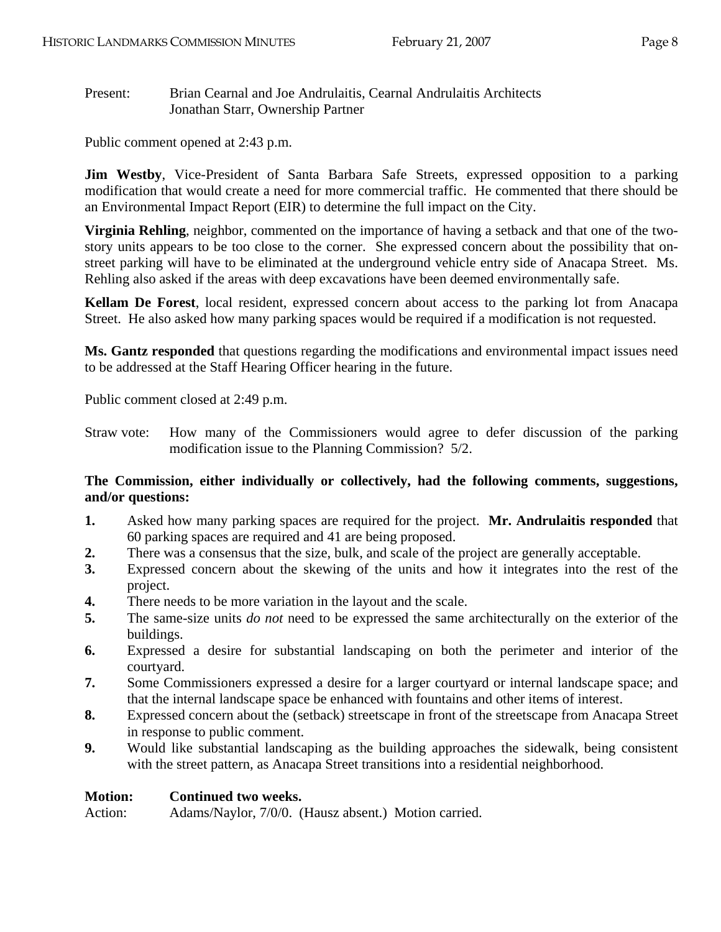Present: Brian Cearnal and Joe Andrulaitis, Cearnal Andrulaitis Architects Jonathan Starr, Ownership Partner

Public comment opened at 2:43 p.m.

**Jim Westby**, Vice-President of Santa Barbara Safe Streets, expressed opposition to a parking modification that would create a need for more commercial traffic. He commented that there should be an Environmental Impact Report (EIR) to determine the full impact on the City.

**Virginia Rehling**, neighbor, commented on the importance of having a setback and that one of the twostory units appears to be too close to the corner. She expressed concern about the possibility that onstreet parking will have to be eliminated at the underground vehicle entry side of Anacapa Street. Ms. Rehling also asked if the areas with deep excavations have been deemed environmentally safe.

**Kellam De Forest**, local resident, expressed concern about access to the parking lot from Anacapa Street. He also asked how many parking spaces would be required if a modification is not requested.

**Ms. Gantz responded** that questions regarding the modifications and environmental impact issues need to be addressed at the Staff Hearing Officer hearing in the future.

Public comment closed at 2:49 p.m.

Straw vote: How many of the Commissioners would agree to defer discussion of the parking modification issue to the Planning Commission? 5/2.

# **The Commission, either individually or collectively, had the following comments, suggestions, and/or questions:**

- **1.** Asked how many parking spaces are required for the project. **Mr. Andrulaitis responded** that 60 parking spaces are required and 41 are being proposed.
- **2.** There was a consensus that the size, bulk, and scale of the project are generally acceptable.
- **3.** Expressed concern about the skewing of the units and how it integrates into the rest of the project.
- **4.** There needs to be more variation in the layout and the scale.
- **5.** The same-size units *do not* need to be expressed the same architecturally on the exterior of the buildings.
- **6.** Expressed a desire for substantial landscaping on both the perimeter and interior of the courtyard.
- **7.** Some Commissioners expressed a desire for a larger courtyard or internal landscape space; and that the internal landscape space be enhanced with fountains and other items of interest.
- **8.** Expressed concern about the (setback) streetscape in front of the streetscape from Anacapa Street in response to public comment.
- **9.** Would like substantial landscaping as the building approaches the sidewalk, being consistent with the street pattern, as Anacapa Street transitions into a residential neighborhood.

#### **Motion: Continued two weeks.**

Action: Adams/Naylor, 7/0/0. (Hausz absent.) Motion carried.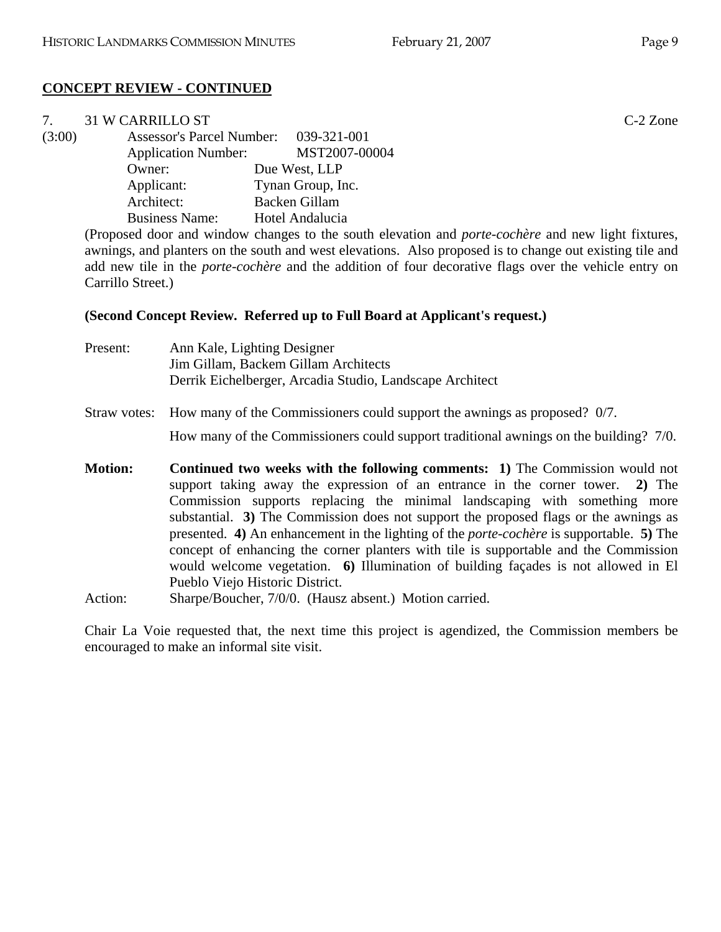# **CONCEPT REVIEW - CONTINUED**

| 7.     | <b>31 W CARRILLO ST</b>               |                   | $C-2$ Zone |
|--------|---------------------------------------|-------------------|------------|
| (3:00) | Assessor's Parcel Number: 039-321-001 |                   |            |
|        | <b>Application Number:</b>            | MST2007-00004     |            |
|        | Owner:                                | Due West, LLP     |            |
|        | Applicant:                            | Tynan Group, Inc. |            |
|        | Architect:                            | Backen Gillam     |            |
|        | <b>Business Name:</b>                 | Hotel Andalucia   |            |

(Proposed door and window changes to the south elevation and *porte-cochère* and new light fixtures, awnings, and planters on the south and west elevations. Also proposed is to change out existing tile and add new tile in the *porte-cochère* and the addition of four decorative flags over the vehicle entry on Carrillo Street.)

# **(Second Concept Review. Referred up to Full Board at Applicant's request.)**

| Present:                  | Ann Kale, Lighting Designer<br>Jim Gillam, Backem Gillam Architects<br>Derrik Eichelberger, Arcadia Studio, Landscape Architect                                                                                                                                                                                                                                                                                                                                                                                                                                                                                                                                                                                         |
|---------------------------|-------------------------------------------------------------------------------------------------------------------------------------------------------------------------------------------------------------------------------------------------------------------------------------------------------------------------------------------------------------------------------------------------------------------------------------------------------------------------------------------------------------------------------------------------------------------------------------------------------------------------------------------------------------------------------------------------------------------------|
| Straw votes:              | How many of the Commissioners could support the awnings as proposed? 0/7.                                                                                                                                                                                                                                                                                                                                                                                                                                                                                                                                                                                                                                               |
|                           | How many of the Commissioners could support traditional awnings on the building? 7/0.                                                                                                                                                                                                                                                                                                                                                                                                                                                                                                                                                                                                                                   |
| <b>Motion:</b><br>Action: | <b>Continued two weeks with the following comments:</b> 1) The Commission would not<br>support taking away the expression of an entrance in the corner tower. 2) The<br>Commission supports replacing the minimal landscaping with something more<br>substantial. 3) The Commission does not support the proposed flags or the awnings as<br>presented. 4) An enhancement in the lighting of the <i>porte-cochere</i> is supportable. 5) The<br>concept of enhancing the corner planters with tile is supportable and the Commission<br>would welcome vegetation. 6) Illumination of building façades is not allowed in El<br>Pueblo Viejo Historic District.<br>Sharpe/Boucher, 7/0/0. (Hausz absent.) Motion carried. |

Chair La Voie requested that, the next time this project is agendized, the Commission members be encouraged to make an informal site visit.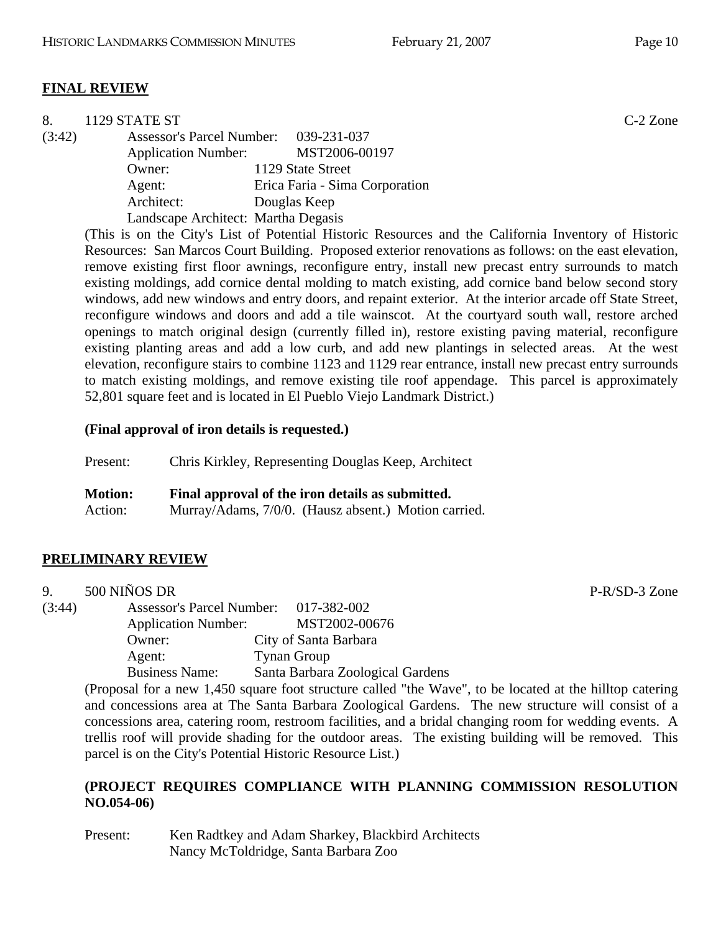# **FINAL REVIEW**

| 8.     | 1129 STATE ST                       |                                       | $C-2$ Zone |
|--------|-------------------------------------|---------------------------------------|------------|
| (3:42) |                                     | Assessor's Parcel Number: 039-231-037 |            |
|        | <b>Application Number:</b>          | MST2006-00197                         |            |
|        | Owner:                              | 1129 State Street                     |            |
|        | Agent:                              | Erica Faria - Sima Corporation        |            |
|        | Architect:                          | Douglas Keep                          |            |
|        | Landscape Architect: Martha Degasis |                                       |            |

(This is on the City's List of Potential Historic Resources and the California Inventory of Historic Resources: San Marcos Court Building. Proposed exterior renovations as follows: on the east elevation, remove existing first floor awnings, reconfigure entry, install new precast entry surrounds to match existing moldings, add cornice dental molding to match existing, add cornice band below second story windows, add new windows and entry doors, and repaint exterior. At the interior arcade off State Street, reconfigure windows and doors and add a tile wainscot. At the courtyard south wall, restore arched openings to match original design (currently filled in), restore existing paving material, reconfigure existing planting areas and add a low curb, and add new plantings in selected areas. At the west elevation, reconfigure stairs to combine 1123 and 1129 rear entrance, install new precast entry surrounds to match existing moldings, and remove existing tile roof appendage. This parcel is approximately 52,801 square feet and is located in El Pueblo Viejo Landmark District.)

#### **(Final approval of iron details is requested.)**

| Present:       | Chris Kirkley, Representing Douglas Keep, Architect  |  |
|----------------|------------------------------------------------------|--|
| <b>Motion:</b> | Final approval of the iron details as submitted.     |  |
| Action:        | Murray/Adams, 7/0/0. (Hausz absent.) Motion carried. |  |

# **PRELIMINARY REVIEW**

| 9.     | 500 NIÑOS DR                          |                                                                                                                                                                                                                                                                                                                          |
|--------|---------------------------------------|--------------------------------------------------------------------------------------------------------------------------------------------------------------------------------------------------------------------------------------------------------------------------------------------------------------------------|
| (3:44) | Assessor's Parcel Number: 017-382-002 |                                                                                                                                                                                                                                                                                                                          |
|        | <b>Application Number:</b>            | MST2002-00676                                                                                                                                                                                                                                                                                                            |
|        | Owner:                                | City of Santa Barbara                                                                                                                                                                                                                                                                                                    |
|        | Agent:                                | <b>Tynan Group</b>                                                                                                                                                                                                                                                                                                       |
|        | <b>Business Name:</b>                 | Santa Barbara Zoological Gardens                                                                                                                                                                                                                                                                                         |
|        |                                       | (Decreed from a constitute of $\mathcal{L}_{\mathcal{L}}$ ) and $\mathcal{L}_{\mathcal{L}}$ is the constraint of $\mathcal{L}_{\mathcal{L}}$ and $\mathcal{L}_{\mathcal{L}}$ is the set of $\mathcal{L}_{\mathcal{L}}$ is the set of $\mathcal{L}_{\mathcal{L}}$ is the set of $\mathcal{L}_{\mathcal{L}}$ is the set of |

(Proposal for a new 1,450 square foot structure called "the Wave", to be located at the hilltop catering and concessions area at The Santa Barbara Zoological Gardens. The new structure will consist of a concessions area, catering room, restroom facilities, and a bridal changing room for wedding events. A trellis roof will provide shading for the outdoor areas. The existing building will be removed. This parcel is on the City's Potential Historic Resource List.)

# **(PROJECT REQUIRES COMPLIANCE WITH PLANNING COMMISSION RESOLUTION NO.054-06)**

Present: Ken Radtkey and Adam Sharkey, Blackbird Architects Nancy McToldridge, Santa Barbara Zoo

 $P-R/SD-3$  Zone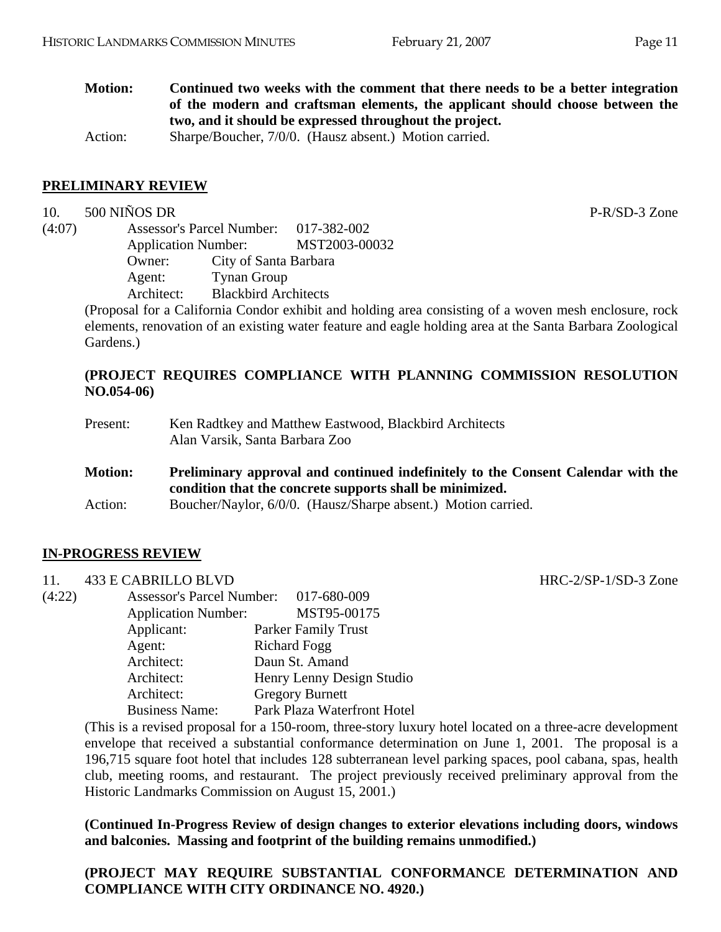**Motion: Continued two weeks with the comment that there needs to be a better integration of the modern and craftsman elements, the applicant should choose between the two, and it should be expressed throughout the project.** 

Action: Sharpe/Boucher, 7/0/0. (Hausz absent.) Motion carried.

#### **PRELIMINARY REVIEW**

#### 10. 500 NIÑOS DR P-R/SD-3 Zone

(4:07) Assessor's Parcel Number: 017-382-002 Application Number: MST2003-00032 Owner: City of Santa Barbara Agent: Tynan Group<br>Architect: Blackbird Arc **Blackbird Architects** 

(Proposal for a California Condor exhibit and holding area consisting of a woven mesh enclosure, rock elements, renovation of an existing water feature and eagle holding area at the Santa Barbara Zoological Gardens.)

# **(PROJECT REQUIRES COMPLIANCE WITH PLANNING COMMISSION RESOLUTION NO.054-06)**

| Present:       | Ken Radtkey and Matthew Eastwood, Blackbird Architects<br>Alan Varsik, Santa Barbara Zoo                                                     |
|----------------|----------------------------------------------------------------------------------------------------------------------------------------------|
| <b>Motion:</b> | Preliminary approval and continued indefinitely to the Consent Calendar with the<br>condition that the concrete supports shall be minimized. |
| Action:        | Boucher/Naylor, 6/0/0. (Hausz/Sharpe absent.) Motion carried.                                                                                |

# **IN-PROGRESS REVIEW**

11. 433 E CABRILLO BLVD HRC-2/SP-1/SD-3 Zone

| <b>II.</b> | 433 E CADRILLO DL V <i>D</i>     |                             |
|------------|----------------------------------|-----------------------------|
| (4:22)     | <b>Assessor's Parcel Number:</b> | 017-680-009                 |
|            | <b>Application Number:</b>       | MST95-00175                 |
|            | Applicant:                       | Parker Family Trust         |
|            | Agent:                           | <b>Richard Fogg</b>         |
|            | Architect:                       | Daun St. Amand              |
|            | Architect:                       | Henry Lenny Design Studio   |
|            | Architect:                       | <b>Gregory Burnett</b>      |
|            | <b>Business Name:</b>            | Park Plaza Waterfront Hotel |
|            |                                  |                             |

(This is a revised proposal for a 150-room, three-story luxury hotel located on a three-acre development envelope that received a substantial conformance determination on June 1, 2001. The proposal is a 196,715 square foot hotel that includes 128 subterranean level parking spaces, pool cabana, spas, health club, meeting rooms, and restaurant. The project previously received preliminary approval from the Historic Landmarks Commission on August 15, 2001.)

**(Continued In-Progress Review of design changes to exterior elevations including doors, windows and balconies. Massing and footprint of the building remains unmodified.)** 

**(PROJECT MAY REQUIRE SUBSTANTIAL CONFORMANCE DETERMINATION AND COMPLIANCE WITH CITY ORDINANCE NO. 4920.)**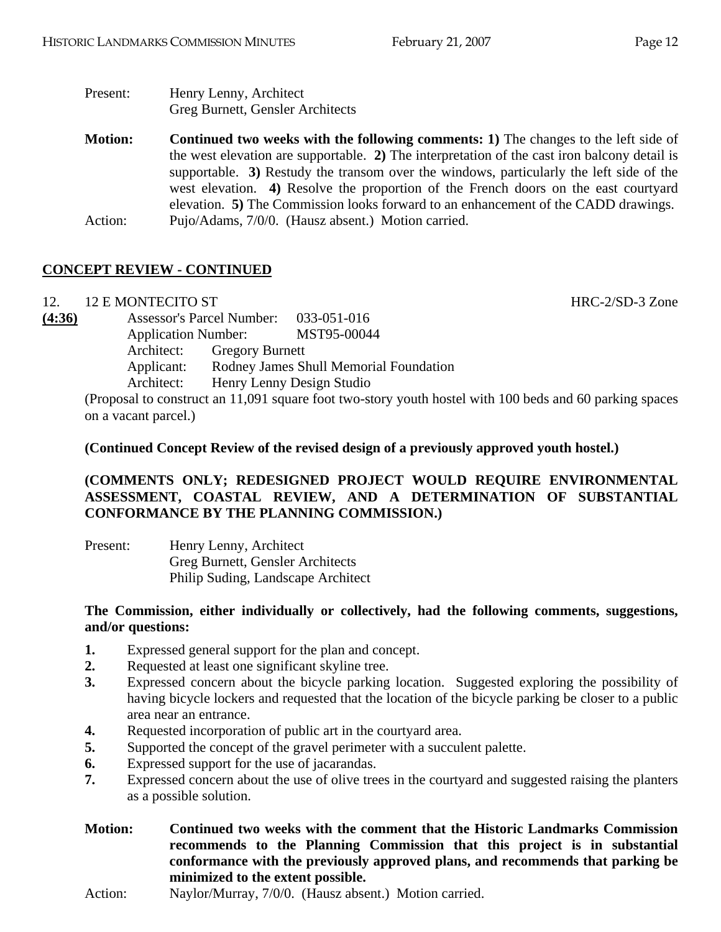| Present:       | Henry Lenny, Architect<br>Greg Burnett, Gensler Architects                                                                                                                                                                                                                                                                                                                                                                                                          |
|----------------|---------------------------------------------------------------------------------------------------------------------------------------------------------------------------------------------------------------------------------------------------------------------------------------------------------------------------------------------------------------------------------------------------------------------------------------------------------------------|
| <b>Motion:</b> | <b>Continued two weeks with the following comments: 1)</b> The changes to the left side of<br>the west elevation are supportable. 2) The interpretation of the cast iron balcony detail is<br>supportable. 3) Restudy the transom over the windows, particularly the left side of the<br>west elevation. 4) Resolve the proportion of the French doors on the east courty and<br>elevation. 5) The Commission looks forward to an enhancement of the CADD drawings. |

Action: Pujo/Adams, 7/0/0. (Hausz absent.) Motion carried.

# **CONCEPT REVIEW - CONTINUED**

12. 12 E MONTECITO ST Annual Structure of the HRC-2/SD-3 Zone

| (4:36) | <b>Assessor's Parcel Number:</b> |                        | 033-051-016                                                       |
|--------|----------------------------------|------------------------|-------------------------------------------------------------------|
|        | <b>Application Number:</b>       |                        | MST95-00044                                                       |
|        | Architect:                       | <b>Gregory Burnett</b> |                                                                   |
|        | Applicant:                       |                        | Rodney James Shull Memorial Foundation                            |
|        | Architect:                       |                        | Henry Lenny Design Studio                                         |
|        |                                  |                        | (Proposal to construct an 11 001 square foot two story youth host |

(Proposal to construct an 11,091 square foot two-story youth hostel with 100 beds and 60 parking spaces on a vacant parcel.)

#### **(Continued Concept Review of the revised design of a previously approved youth hostel.)**

# **(COMMENTS ONLY; REDESIGNED PROJECT WOULD REQUIRE ENVIRONMENTAL ASSESSMENT, COASTAL REVIEW, AND A DETERMINATION OF SUBSTANTIAL CONFORMANCE BY THE PLANNING COMMISSION.)**

| Present: | Henry Lenny, Architect             |
|----------|------------------------------------|
|          | Greg Burnett, Gensler Architects   |
|          | Philip Suding, Landscape Architect |

#### **The Commission, either individually or collectively, had the following comments, suggestions, and/or questions:**

- **1.** Expressed general support for the plan and concept.
- **2.** Requested at least one significant skyline tree.
- **3.** Expressed concern about the bicycle parking location. Suggested exploring the possibility of having bicycle lockers and requested that the location of the bicycle parking be closer to a public area near an entrance.
- **4.** Requested incorporation of public art in the courtyard area.
- **5.** Supported the concept of the gravel perimeter with a succulent palette.
- **6.** Expressed support for the use of jacarandas.
- **7.** Expressed concern about the use of olive trees in the courtyard and suggested raising the planters as a possible solution.
- **Motion: Continued two weeks with the comment that the Historic Landmarks Commission recommends to the Planning Commission that this project is in substantial conformance with the previously approved plans, and recommends that parking be minimized to the extent possible.**
- Action: Naylor/Murray, 7/0/0. (Hausz absent.) Motion carried.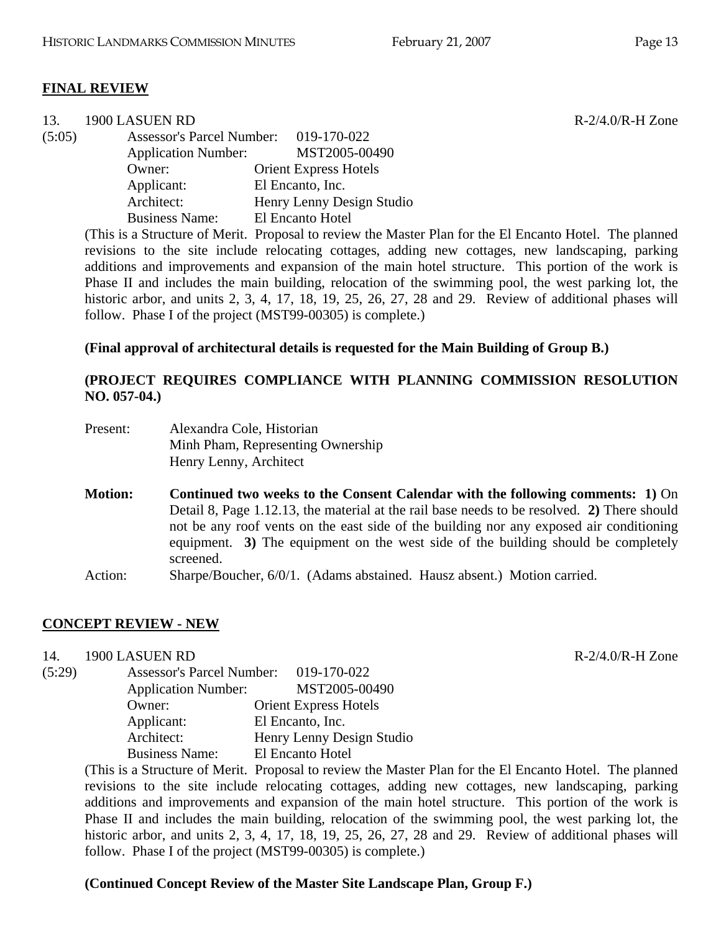$R-2/4.0/R-H$  Zone

#### **FINAL REVIEW**

| 13.    | 1900 LASUEN RD             |                                       |
|--------|----------------------------|---------------------------------------|
| (5:05) |                            | Assessor's Parcel Number: 019-170-022 |
|        | <b>Application Number:</b> | MST2005-00490                         |
|        | Owner:                     | <b>Orient Express Hotels</b>          |
|        | Applicant:                 | El Encanto, Inc.                      |
|        | Architect:                 | Henry Lenny Design Studio             |
|        | <b>Business Name:</b>      | El Encanto Hotel                      |

(This is a Structure of Merit. Proposal to review the Master Plan for the El Encanto Hotel. The planned revisions to the site include relocating cottages, adding new cottages, new landscaping, parking additions and improvements and expansion of the main hotel structure. This portion of the work is Phase II and includes the main building, relocation of the swimming pool, the west parking lot, the historic arbor, and units 2, 3, 4, 17, 18, 19, 25, 26, 27, 28 and 29. Review of additional phases will follow. Phase I of the project (MST99-00305) is complete.)

#### **(Final approval of architectural details is requested for the Main Building of Group B.)**

# **(PROJECT REQUIRES COMPLIANCE WITH PLANNING COMMISSION RESOLUTION NO. 057-04.)**

| Present: | Alexandra Cole, Historian         |
|----------|-----------------------------------|
|          | Minh Pham, Representing Ownership |
|          | Henry Lenny, Architect            |

- **Motion: Continued two weeks to the Consent Calendar with the following comments: 1)** On Detail 8, Page 1.12.13, the material at the rail base needs to be resolved. **2)** There should not be any roof vents on the east side of the building nor any exposed air conditioning equipment. **3)** The equipment on the west side of the building should be completely screened.
- Action: Sharpe/Boucher, 6/0/1. (Adams abstained. Hausz absent.) Motion carried.

# **CONCEPT REVIEW - NEW**

14. 1900 LASUEN RD R-2/4.0/R-H Zone

| (5:29) | <b>Assessor's Parcel Number:</b> | 019-170-022                  |
|--------|----------------------------------|------------------------------|
|        | <b>Application Number:</b>       | MST2005-00490                |
|        | Owner:                           | <b>Orient Express Hotels</b> |
|        | Applicant:                       | El Encanto, Inc.             |
|        | Architect:                       | Henry Lenny Design Studio    |
|        | <b>Business Name:</b>            | El Encanto Hotel             |

(This is a Structure of Merit. Proposal to review the Master Plan for the El Encanto Hotel. The planned revisions to the site include relocating cottages, adding new cottages, new landscaping, parking additions and improvements and expansion of the main hotel structure. This portion of the work is Phase II and includes the main building, relocation of the swimming pool, the west parking lot, the historic arbor, and units 2, 3, 4, 17, 18, 19, 25, 26, 27, 28 and 29. Review of additional phases will follow. Phase I of the project (MST99-00305) is complete.)

#### **(Continued Concept Review of the Master Site Landscape Plan, Group F.)**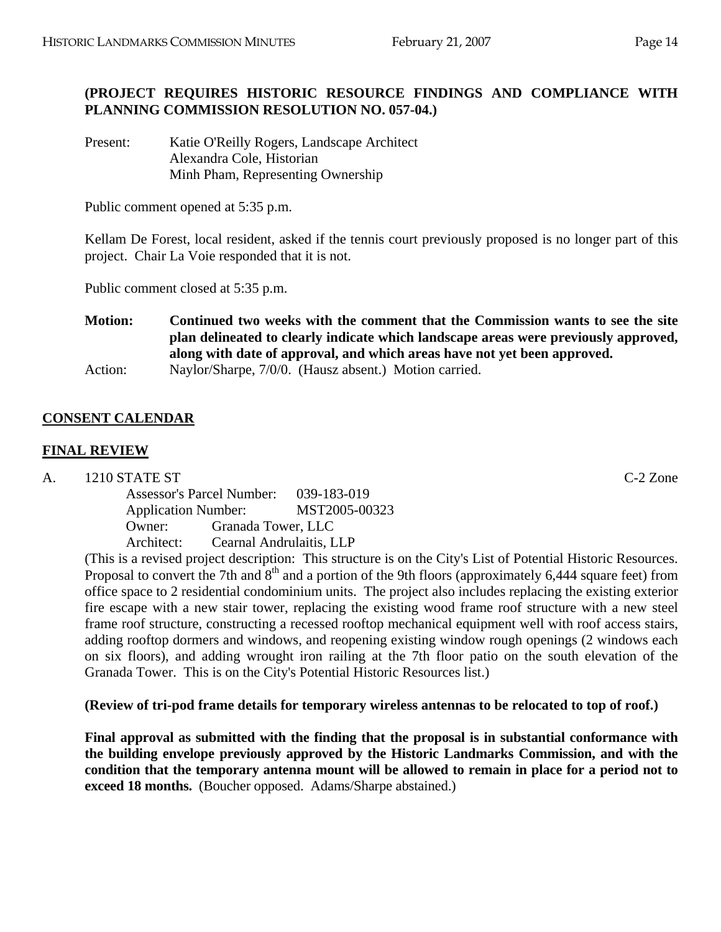# **(PROJECT REQUIRES HISTORIC RESOURCE FINDINGS AND COMPLIANCE WITH PLANNING COMMISSION RESOLUTION NO. 057-04.)**

Present: Katie O'Reilly Rogers, Landscape Architect Alexandra Cole, Historian Minh Pham, Representing Ownership

Public comment opened at 5:35 p.m.

Kellam De Forest, local resident, asked if the tennis court previously proposed is no longer part of this project. Chair La Voie responded that it is not.

Public comment closed at 5:35 p.m.

**Motion: Continued two weeks with the comment that the Commission wants to see the site plan delineated to clearly indicate which landscape areas were previously approved, along with date of approval, and which areas have not yet been approved.**  Action: Naylor/Sharpe, 7/0/0. (Hausz absent.) Motion carried.

# **CONSENT CALENDAR**

# **FINAL REVIEW**

A. 1210 STATE ST C-2 Zone

Assessor's Parcel Number: 039-183-019 Application Number: MST2005-00323 Owner: Granada Tower, LLC Architect: Cearnal Andrulaitis, LLP

(This is a revised project description: This structure is on the City's List of Potential Historic Resources. Proposal to convert the 7th and 8<sup>th</sup> and a portion of the 9th floors (approximately 6,444 square feet) from office space to 2 residential condominium units. The project also includes replacing the existing exterior fire escape with a new stair tower, replacing the existing wood frame roof structure with a new steel frame roof structure, constructing a recessed rooftop mechanical equipment well with roof access stairs, adding rooftop dormers and windows, and reopening existing window rough openings (2 windows each on six floors), and adding wrought iron railing at the 7th floor patio on the south elevation of the Granada Tower. This is on the City's Potential Historic Resources list.)

**(Review of tri-pod frame details for temporary wireless antennas to be relocated to top of roof.)** 

**Final approval as submitted with the finding that the proposal is in substantial conformance with the building envelope previously approved by the Historic Landmarks Commission, and with the condition that the temporary antenna mount will be allowed to remain in place for a period not to exceed 18 months.** (Boucher opposed. Adams/Sharpe abstained.)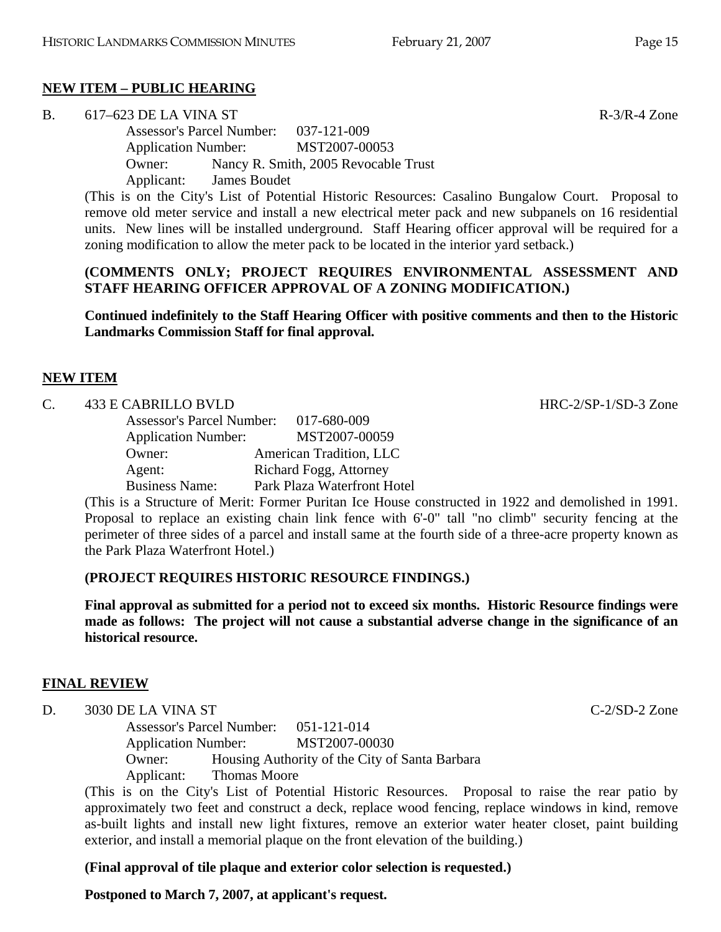# **NEW ITEM – PUBLIC HEARING**

B.  $617-623$  DE LA VINA ST  $R-3/R-4$  Zone

Assessor's Parcel Number: 037-121-009 Application Number: MST2007-00053 Owner: Nancy R. Smith, 2005 Revocable Trust Applicant: James Boudet

(This is on the City's List of Potential Historic Resources: Casalino Bungalow Court. Proposal to remove old meter service and install a new electrical meter pack and new subpanels on 16 residential units. New lines will be installed underground. Staff Hearing officer approval will be required for a zoning modification to allow the meter pack to be located in the interior yard setback.)

#### **(COMMENTS ONLY; PROJECT REQUIRES ENVIRONMENTAL ASSESSMENT AND STAFF HEARING OFFICER APPROVAL OF A ZONING MODIFICATION.)**

**Continued indefinitely to the Staff Hearing Officer with positive comments and then to the Historic Landmarks Commission Staff for final approval.**

#### **NEW ITEM**

C. 433 E CABRILLO BVLD HRC-2/SP-1/SD-3 Zone

| <b>Assessor's Parcel Number:</b> | 017-680-009                 |
|----------------------------------|-----------------------------|
| <b>Application Number:</b>       | MST2007-00059               |
| Owner:                           | American Tradition, LLC     |
| Agent:                           | Richard Fogg, Attorney      |
| <b>Business Name:</b>            | Park Plaza Waterfront Hotel |

(This is a Structure of Merit: Former Puritan Ice House constructed in 1922 and demolished in 1991. Proposal to replace an existing chain link fence with 6'-0" tall "no climb" security fencing at the perimeter of three sides of a parcel and install same at the fourth side of a three-acre property known as the Park Plaza Waterfront Hotel.)

# **(PROJECT REQUIRES HISTORIC RESOURCE FINDINGS.)**

**Final approval as submitted for a period not to exceed six months. Historic Resource findings were made as follows: The project will not cause a substantial adverse change in the significance of an historical resource.** 

# **FINAL REVIEW**

D. 3030 DE LA VINA ST C-2/SD-2 Zone

Assessor's Parcel Number: 051-121-014 Application Number: MST2007-00030 Owner: Housing Authority of the City of Santa Barbara Applicant: Thomas Moore

(This is on the City's List of Potential Historic Resources. Proposal to raise the rear patio by approximately two feet and construct a deck, replace wood fencing, replace windows in kind, remove as-built lights and install new light fixtures, remove an exterior water heater closet, paint building exterior, and install a memorial plaque on the front elevation of the building.)

**(Final approval of tile plaque and exterior color selection is requested.)** 

**Postponed to March 7, 2007, at applicant's request.**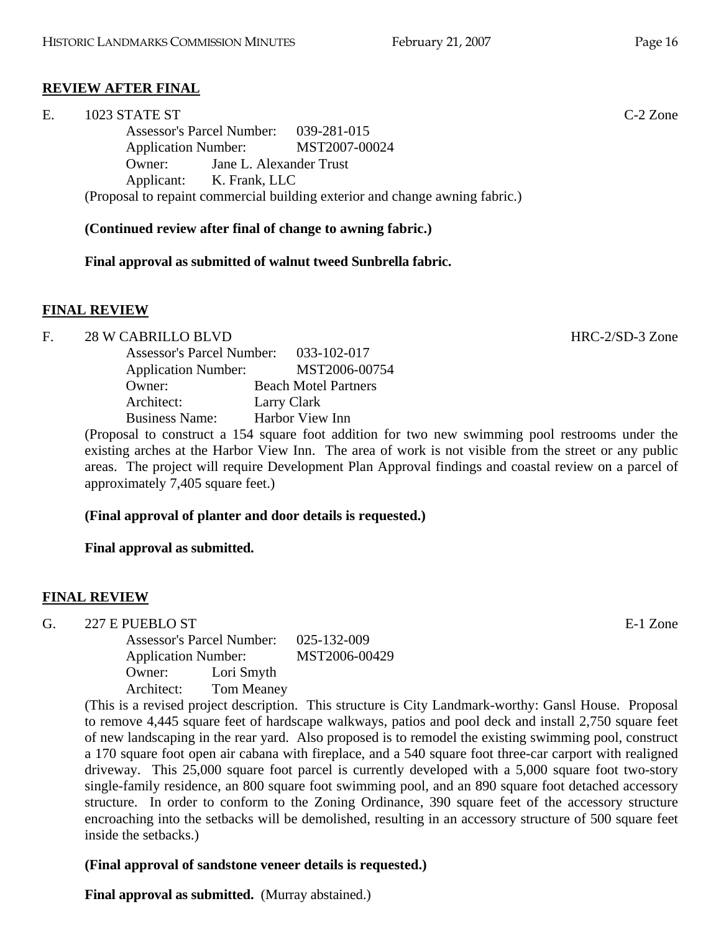# **REVIEW AFTER FINAL**

| Е. | 1023 STATE ST                                                                | $C-2$ Zone |
|----|------------------------------------------------------------------------------|------------|
|    | Assessor's Parcel Number: 039-281-015                                        |            |
|    | Application Number: MST2007-00024                                            |            |
|    | Jane L. Alexander Trust<br>Owner:                                            |            |
|    | Applicant: K. Frank, LLC                                                     |            |
|    | (Proposal to repaint commercial building exterior and change awning fabric.) |            |

#### **(Continued review after final of change to awning fabric.)**

#### **Final approval as submitted of walnut tweed Sunbrella fabric.**

#### **FINAL REVIEW**

#### F. 28 W CABRILLO BLVD **HRC-2/SD-3** Zone

| <b>Assessor's Parcel Number:</b> | 033-102-017                 |
|----------------------------------|-----------------------------|
| <b>Application Number:</b>       | MST2006-00754               |
| Owner:                           | <b>Beach Motel Partners</b> |
| Architect:                       | Larry Clark                 |
| <b>Business Name:</b>            | Harbor View Inn             |

(Proposal to construct a 154 square foot addition for two new swimming pool restrooms under the existing arches at the Harbor View Inn. The area of work is not visible from the street or any public areas. The project will require Development Plan Approval findings and coastal review on a parcel of approximately 7,405 square feet.)

#### **(Final approval of planter and door details is requested.)**

#### **Final approval as submitted.**

#### **FINAL REVIEW**

G. 227 E PUEBLO ST

Assessor's Parcel Number: 025-132-009 Application Number: MST2006-00429 Owner: Lori Smyth Architect: Tom Meaney

(This is a revised project description. This structure is City Landmark-worthy: Gansl House. Proposal to remove 4,445 square feet of hardscape walkways, patios and pool deck and install 2,750 square feet of new landscaping in the rear yard. Also proposed is to remodel the existing swimming pool, construct a 170 square foot open air cabana with fireplace, and a 540 square foot three-car carport with realigned driveway. This 25,000 square foot parcel is currently developed with a 5,000 square foot two-story single-family residence, an 800 square foot swimming pool, and an 890 square foot detached accessory structure. In order to conform to the Zoning Ordinance, 390 square feet of the accessory structure encroaching into the setbacks will be demolished, resulting in an accessory structure of 500 square feet inside the setbacks.)

#### **(Final approval of sandstone veneer details is requested.)**

**Final approval as submitted.** (Murray abstained.)